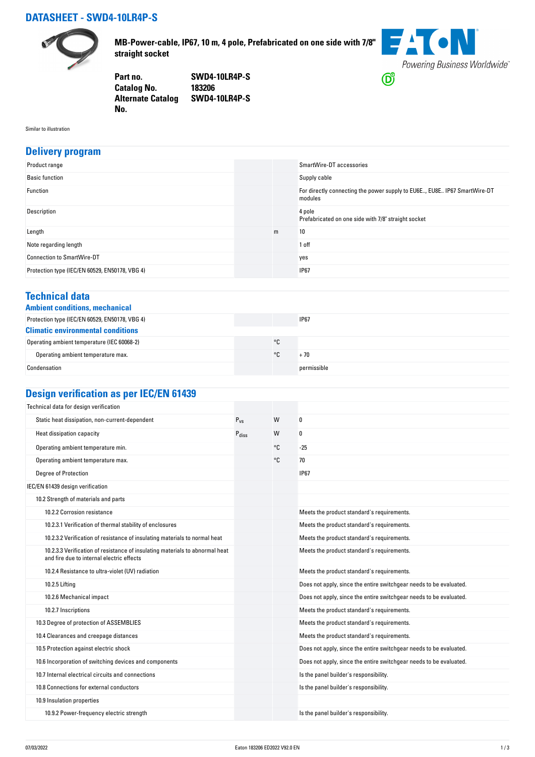## **DATASHEET - SWD4-10LR4P-S**



**MB-Power-cable, IP67, 10 m, 4 pole, Prefabricated on one side with 7/8" straight socket**

**FACN** Powering Business Worldwide®  $\bigcirc$ 

**Part no. SWD4-10LR4P-S Catalog No. Alternate Catalog SWD4-10LR4P-S No.** 

Similar to illustration

#### **Delivery program**

| Product range                                  |   | SmartWire-DT accessories                                                            |
|------------------------------------------------|---|-------------------------------------------------------------------------------------|
| <b>Basic function</b>                          |   | Supply cable                                                                        |
| Function                                       |   | For directly connecting the power supply to EU6E, EU8E IP67 SmartWire-DT<br>modules |
| Description                                    |   | 4 pole<br>Prefabricated on one side with 7/8" straight socket                       |
| Length                                         | m | 10                                                                                  |
| Note regarding length                          |   | 1 off                                                                               |
| <b>Connection to SmartWire-DT</b>              |   | yes                                                                                 |
| Protection type (IEC/EN 60529, EN50178, VBG 4) |   | <b>IP67</b>                                                                         |

#### **Technical data**

|  | <b>Ambient conditions, mechanica</b> |
|--|--------------------------------------|
|  |                                      |

| Ambient conditions, mechanical                 |    |             |  |
|------------------------------------------------|----|-------------|--|
| Protection type (IEC/EN 60529, EN50178, VBG 4) |    | <b>IP67</b> |  |
| <b>Climatic environmental conditions</b>       |    |             |  |
| Operating ambient temperature (IEC 60068-2)    | °C |             |  |
| Operating ambient temperature max.             | ۰c | + 70        |  |
| Condensation                                   |    | permissible |  |

# **Design verification as per IEC/EN 61439**

| Technical data for design verification                                                                                    |                   |    |                                                                    |
|---------------------------------------------------------------------------------------------------------------------------|-------------------|----|--------------------------------------------------------------------|
| Static heat dissipation, non-current-dependent                                                                            | $P_{VS}$          | W  | 0                                                                  |
| Heat dissipation capacity                                                                                                 | $P_{\text{diss}}$ | W  | 0                                                                  |
| Operating ambient temperature min.                                                                                        |                   | °C | $-25$                                                              |
| Operating ambient temperature max.                                                                                        |                   | °C | 70                                                                 |
| <b>Degree of Protection</b>                                                                                               |                   |    | <b>IP67</b>                                                        |
| IEC/EN 61439 design verification                                                                                          |                   |    |                                                                    |
| 10.2 Strength of materials and parts                                                                                      |                   |    |                                                                    |
| 10.2.2 Corrosion resistance                                                                                               |                   |    | Meets the product standard's requirements.                         |
| 10.2.3.1 Verification of thermal stability of enclosures                                                                  |                   |    | Meets the product standard's requirements.                         |
| 10.2.3.2 Verification of resistance of insulating materials to normal heat                                                |                   |    | Meets the product standard's requirements.                         |
| 10.2.3.3 Verification of resistance of insulating materials to abnormal heat<br>and fire due to internal electric effects |                   |    | Meets the product standard's requirements.                         |
| 10.2.4 Resistance to ultra-violet (UV) radiation                                                                          |                   |    | Meets the product standard's requirements.                         |
| 10.2.5 Lifting                                                                                                            |                   |    | Does not apply, since the entire switchgear needs to be evaluated. |
| 10.2.6 Mechanical impact                                                                                                  |                   |    | Does not apply, since the entire switchgear needs to be evaluated. |
| 10.2.7 Inscriptions                                                                                                       |                   |    | Meets the product standard's requirements.                         |
| 10.3 Degree of protection of ASSEMBLIES                                                                                   |                   |    | Meets the product standard's requirements.                         |
| 10.4 Clearances and creepage distances                                                                                    |                   |    | Meets the product standard's requirements.                         |
| 10.5 Protection against electric shock                                                                                    |                   |    | Does not apply, since the entire switchgear needs to be evaluated. |
| 10.6 Incorporation of switching devices and components                                                                    |                   |    | Does not apply, since the entire switchgear needs to be evaluated. |
| 10.7 Internal electrical circuits and connections                                                                         |                   |    | Is the panel builder's responsibility.                             |
| 10.8 Connections for external conductors                                                                                  |                   |    | Is the panel builder's responsibility.                             |
| 10.9 Insulation properties                                                                                                |                   |    |                                                                    |
| 10.9.2 Power-frequency electric strength                                                                                  |                   |    | Is the panel builder's responsibility.                             |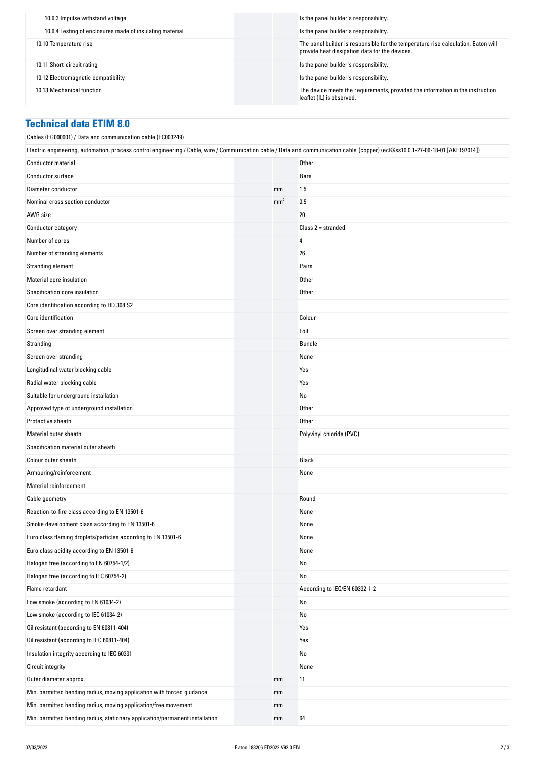| 10.9.3 Impulse withstand voltage                         | Is the panel builder's responsibility.                                                                                              |
|----------------------------------------------------------|-------------------------------------------------------------------------------------------------------------------------------------|
| 10.9.4 Testing of enclosures made of insulating material | Is the panel builder's responsibility.                                                                                              |
| 10.10 Temperature rise                                   | The panel builder is responsible for the temperature rise calculation. Eaton will<br>provide heat dissipation data for the devices. |
| 10.11 Short-circuit rating                               | Is the panel builder's responsibility.                                                                                              |
| 10.12 Electromagnetic compatibility                      | Is the panel builder's responsibility.                                                                                              |
| 10.13 Mechanical function                                | The device meets the requirements, provided the information in the instruction<br>leaflet (IL) is observed.                         |

### **Technical data ETIM 8.0**

| Cables (EG000001) / Data and communication cable (EC003249)                                                                                                                      |                 |                               |
|----------------------------------------------------------------------------------------------------------------------------------------------------------------------------------|-----------------|-------------------------------|
| Electric engineering, automation, process control engineering / Cable, wire / Communication cable / Data and communication cable (copper) (ecl@ss10.0.1-27-06-18-01 [AKE197014]) |                 |                               |
| <b>Conductor material</b>                                                                                                                                                        |                 | Other                         |
| Conductor surface                                                                                                                                                                |                 | Bare                          |
| Diameter conductor                                                                                                                                                               | mm              | 1.5                           |
| Nominal cross section conductor                                                                                                                                                  | mm <sup>2</sup> | 0.5                           |
| AWG size                                                                                                                                                                         |                 | 20                            |
| Conductor category                                                                                                                                                               |                 | $Class 2 = stranded$          |
| Number of cores                                                                                                                                                                  |                 | 4                             |
| Number of stranding elements                                                                                                                                                     |                 | 26                            |
| Stranding element                                                                                                                                                                |                 | Pairs                         |
| Material core insulation                                                                                                                                                         |                 | Other                         |
| Specification core insulation                                                                                                                                                    |                 | Other                         |
| Core identification according to HD 308 S2                                                                                                                                       |                 |                               |
| Core identification                                                                                                                                                              |                 | Colour                        |
| Screen over stranding element                                                                                                                                                    |                 | Foil                          |
| Stranding                                                                                                                                                                        |                 | Bundle                        |
| Screen over stranding                                                                                                                                                            |                 | None                          |
| Longitudinal water blocking cable                                                                                                                                                |                 | Yes                           |
| Radial water blocking cable                                                                                                                                                      |                 | Yes                           |
| Suitable for underground installation                                                                                                                                            |                 | No                            |
| Approved type of underground installation                                                                                                                                        |                 | Other                         |
| Protective sheath                                                                                                                                                                |                 | Other                         |
| Material outer sheath                                                                                                                                                            |                 | Polyvinyl chloride (PVC)      |
| Specification material outer sheath                                                                                                                                              |                 |                               |
| Colour outer sheath                                                                                                                                                              |                 | Black                         |
| Armouring/reinforcement                                                                                                                                                          |                 | None                          |
| <b>Material reinforcement</b>                                                                                                                                                    |                 |                               |
| Cable geometry                                                                                                                                                                   |                 | Round                         |
| Reaction-to-fire class according to EN 13501-6                                                                                                                                   |                 | None                          |
| Smoke development class according to EN 13501-6                                                                                                                                  |                 | None                          |
| Euro class flaming droplets/particles according to EN 13501-6                                                                                                                    |                 | None                          |
| Euro class acidity according to EN 13501-6                                                                                                                                       |                 | None                          |
| Halogen free (according to EN 60754-1/2)                                                                                                                                         |                 | No                            |
| Halogen free (according to IEC 60754-2)                                                                                                                                          |                 | No                            |
| Flame retardant                                                                                                                                                                  |                 | According to IEC/EN 60332-1-2 |
| Low smoke (according to EN 61034-2)                                                                                                                                              |                 | No                            |
| Low smoke (according to IEC 61034-2)                                                                                                                                             |                 | No                            |
| Oil resistant (according to EN 60811-404)                                                                                                                                        |                 | Yes                           |
| Oil resistant (according to IEC 60811-404)                                                                                                                                       |                 | Yes                           |
| Insulation integrity according to IEC 60331                                                                                                                                      |                 | No                            |
| <b>Circuit integrity</b>                                                                                                                                                         |                 | None                          |
| Outer diameter approx.                                                                                                                                                           | mm              | 11                            |
| Min. permitted bending radius, moving application with forced guidance                                                                                                           | mm              |                               |
| Min. permitted bending radius, moving application/free movement                                                                                                                  | mm              |                               |
| Min. permitted bending radius, stationary application/permanent installation                                                                                                     | mm              | 64                            |